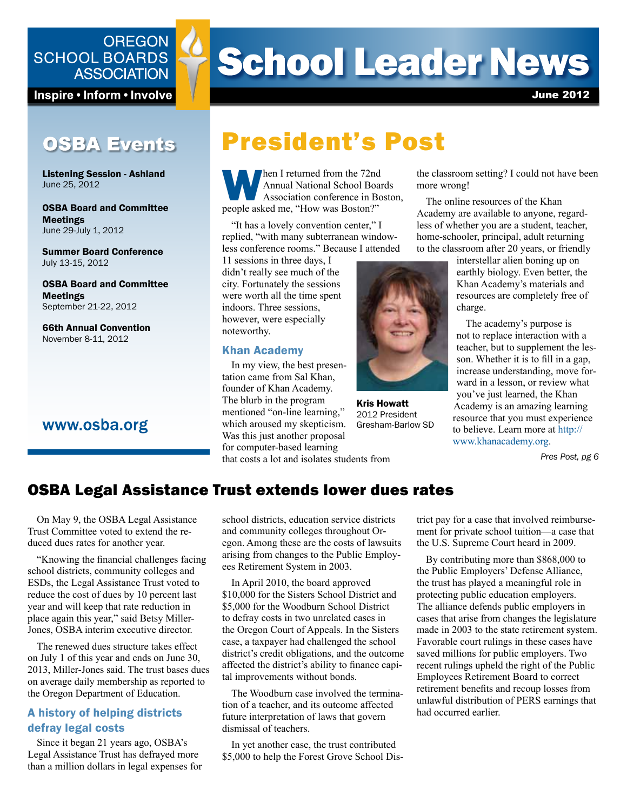## **OREGON SCHOOL BOARDS ASSOCIATION**

Inspire • Inform • Involve

## OSBA Events

Listening Session - Ashland June 25, 2012

OSBA Board and Committee Meetings June 29-July 1, 2012

Summer Board Conference July 13-15, 2012

OSBA Board and Committee Meetings September 21-22, 2012

66th Annual Convention November 8-11, 2012

## www.osba.org

# **School Leader News**

June 2012

# President's Post

**When I returned from the 72nd**<br>
Annual National School Boar<br>
Association conference in Bo<br>
people asked me, "How was Boston?" Annual National School Boards Association conference in Boston,

"It has a lovely convention center," I replied, "with many subterranean windowless conference rooms." Because I attended

11 sessions in three days, I didn't really see much of the city. Fortunately the sessions were worth all the time spent indoors. Three sessions, however, were especially noteworthy.

#### Khan Academy

In my view, the best presentation came from Sal Khan, founder of Khan Academy. The blurb in the program mentioned "on-line learning," which aroused my skepticism. Was this just another proposal for computer-based learning that costs a lot and isolates students from



Kris Howatt 2012 President Gresham-Barlow SD

the classroom setting? I could not have been more wrong!

The online resources of the Khan Academy are available to anyone, regardless of whether you are a student, teacher, home-schooler, principal, adult returning to the classroom after 20 years, or friendly

> interstellar alien boning up on earthly biology. Even better, the Khan Academy's materials and resources are completely free of charge.

The academy's purpose is not to replace interaction with a teacher, but to supplement the lesson. Whether it is to fill in a gap, increase understanding, move forward in a lesson, or review what you've just learned, the Khan Academy is an amazing learning resource that you must experience to believe. Learn more at [http://](http://www.khanacademy.org) [www.khanacademy.org.](http://www.khanacademy.org)

*Pres Post, pg 6*

## OSBA Legal Assistance Trust extends lower dues rates

On May 9, the OSBA Legal Assistance Trust Committee voted to extend the reduced dues rates for another year.

"Knowing the financial challenges facing school districts, community colleges and ESDs, the Legal Assistance Trust voted to reduce the cost of dues by 10 percent last year and will keep that rate reduction in place again this year," said Betsy Miller-Jones, OSBA interim executive director.

The renewed dues structure takes effect on July 1 of this year and ends on June 30, 2013, Miller-Jones said. The trust bases dues on average daily membership as reported to the Oregon Department of Education.

### A history of helping districts defray legal costs

Since it began 21 years ago, OSBA's Legal Assistance Trust has defrayed more than a million dollars in legal expenses for school districts, education service districts and community colleges throughout Oregon. Among these are the costs of lawsuits arising from changes to the Public Employees Retirement System in 2003.

In April 2010, the board approved \$10,000 for the Sisters School District and \$5,000 for the Woodburn School District to defray costs in two unrelated cases in the Oregon Court of Appeals. In the Sisters case, a taxpayer had challenged the school district's credit obligations, and the outcome affected the district's ability to finance capital improvements without bonds.

The Woodburn case involved the termination of a teacher, and its outcome affected future interpretation of laws that govern dismissal of teachers.

In yet another case, the trust contributed \$5,000 to help the Forest Grove School District pay for a case that involved reimbursement for private school tuition—a case that the U.S. Supreme Court heard in 2009.

By contributing more than \$868,000 to the Public Employers' Defense Alliance, the trust has played a meaningful role in protecting public education employers. The alliance defends public employers in cases that arise from changes the legislature made in 2003 to the state retirement system. Favorable court rulings in these cases have saved millions for public employers. Two recent rulings upheld the right of the Public Employees Retirement Board to correct retirement benefits and recoup losses from unlawful distribution of PERS earnings that had occurred earlier.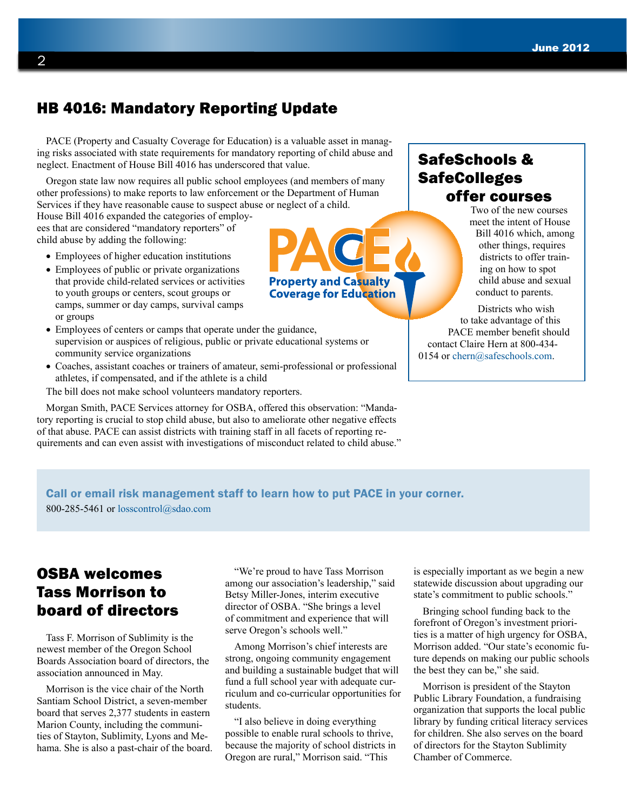## HB 4016: Mandatory Reporting Update

PACE (Property and Casualty Coverage for Education) is a valuable asset in managing risks associated with state requirements for mandatory reporting of child abuse and neglect. Enactment of House Bill 4016 has underscored that value.

Oregon state law now requires all public school employees (and members of many other professions) to make reports to law enforcement or the Department of Human Services if they have reasonable cause to suspect abu[se or neglect of a child.](pace.osba.org) 

House Bill 4016 expanded the categories of employees that are considered "mandatory reporters" of child abuse by adding the following:

- Employees of higher education institutions
- Employees of public or private organizations that provide child-related services or activities to youth groups or centers, scout groups or camps, summer or day camps, survival camps or groups
- Employees of centers or camps that operate under the guidance, supervision or auspices of religious, public or private educational systems or community service organizations
- Coaches, assistant coaches or trainers of amateur, semi-professional or professional athletes, if compensated, and if the athlete is a child

The bill does not make school volunteers mandatory reporters.

Morgan Smith, PACE Services attorney for OSBA, offered this observation: "Mandatory reporting is crucial to stop child abuse, but also to ameliorate other negative effects of that abuse. PACE can assist districts with training staff in all facets of reporting requirements and can even assist with investigations of misconduct related to child abuse."

## SafeSchools & **SafeColleges** offer courses

Two of the new courses meet the intent of House Bill 4016 which, among other things, requires districts to offer training on how to spot child abuse and sexual conduct to parents.

Districts who wish to take advantage of this PACE member benefit should contact Claire Hern at 800-434 0154 or [chern@safeschools.com](mailto:chern%40safeschools.com?subject=Interested%20in%20online%20training%20through%20PACE).

#### Call or email risk management staff to learn how to put PACE in your corner.

800-285-5461 or losscontrol[@sdao.com](mailto:claims%40sdao.com?subject=)

## OSBA welcomes Tass Morrison to board of directors

Tass F. Morrison of Sublimity is the newest member of the Oregon School Boards Association board of directors, the association announced in May.

Morrison is the vice chair of the North Santiam School District, a seven-member board that serves 2,377 students in eastern Marion County, including the communities of Stayton, Sublimity, Lyons and Mehama. She is also a past-chair of the board.

"We're proud to have Tass Morrison among our association's leadership," said Betsy Miller-Jones, interim executive director of OSBA. "She brings a level of commitment and experience that will serve Oregon's schools well."

Among Morrison's chief interests are strong, ongoing community engagement and building a sustainable budget that will fund a full school year with adequate curriculum and co-curricular opportunities for students.

"I also believe in doing everything possible to enable rural schools to thrive, because the majority of school districts in Oregon are rural," Morrison said. "This

is especially important as we begin a new statewide discussion about upgrading our state's commitment to public schools."

Bringing school funding back to the forefront of Oregon's investment priorities is a matter of high urgency for OSBA, Morrison added. "Our state's economic future depends on making our public schools the best they can be," she said.

Morrison is president of the Stayton Public Library Foundation, a fundraising organization that supports the local public library by funding critical literacy services for children. She also serves on the board of directors for the Stayton Sublimity Chamber of Commerce.

# **Property and Casualty Coverage for Education**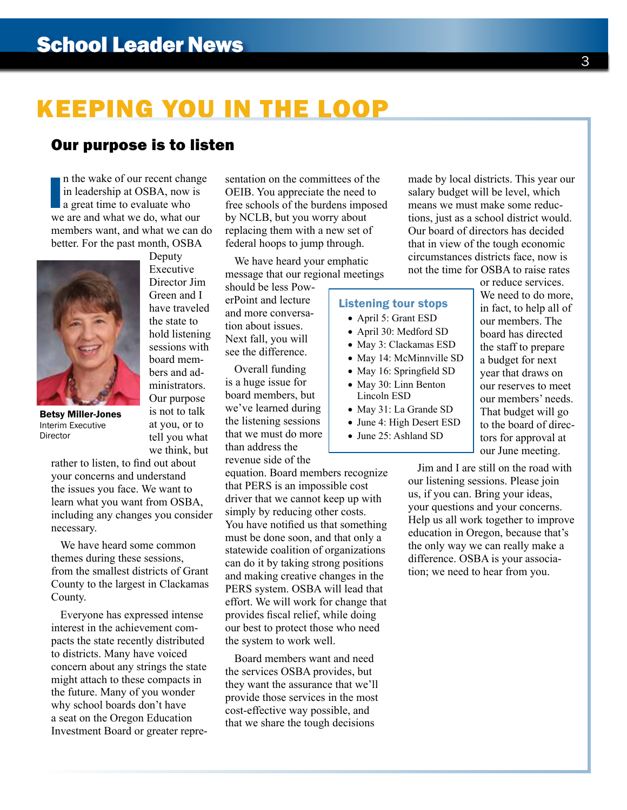# KEEPING YOU IN THE LOOP

## Our purpose is to listen

In the wake of our recent change<br>in leadership at OSBA, now is<br>a great time to evaluate who<br>we are and what we do, what our n the wake of our recent change in leadership at OSBA, now is a great time to evaluate who members want, and what we can do better. For the past month, OSBA

> Deputy Executive Director Jim Green and I have traveled the state to hold listening sessions with board members and administrators. Our purpose is not to talk at you, or to tell you what we think, but



Betsy Miller-Jones Interim Executive Director

rather to listen, to find out about your concerns and understand the issues you face. We want to learn what you want from OSBA, including any changes you consider necessary.

We have heard some common themes during these sessions, from the smallest districts of Grant County to the largest in Clackamas County.

Everyone has expressed intense interest in the achievement compacts the state recently distributed to districts. Many have voiced concern about any strings the state might attach to these compacts in the future. Many of you wonder why school boards don't have a seat on the Oregon Education Investment Board or greater representation on the committees of the OEIB. You appreciate the need to free schools of the burdens imposed by NCLB, but you worry about replacing them with a new set of federal hoops to jump through.

We have heard your emphatic message that our regional meetings

should be less PowerPoint and lecture and more conversation about issues. Next fall, you will see the difference.

Overall funding is a huge issue for board members, but we've learned during the listening sessions that we must do more than address the revenue side of the

equation. Board members recognize that PERS is an impossible cost driver that we cannot keep up with simply by reducing other costs. You have notified us that something must be done soon, and that only a statewide coalition of organizations can do it by taking strong positions and making creative changes in the PERS system. OSBA will lead that effort. We will work for change that provides fiscal relief, while doing our best to protect those who need the system to work well.

Board members want and need the services OSBA provides, but they want the assurance that we'll provide those services in the most cost-effective way possible, and that we share the tough decisions

made by local districts. This year our salary budget will be level, which means we must make some reductions, just as a school district would. Our board of directors has decided that in view of the tough economic circumstances districts face, now is not the time for OSBA to raise rates

## Listening tour stops

- April 5: Grant ESD
- April 30: Medford SD
- May 3: Clackamas ESD
- May 14: McMinnville SD
- May 16: Springfield SD
- May 30: Linn Benton Lincoln ESD
- May 31: La Grande SD
- June 4: High Desert ESD
- June 25: Ashland SD

or reduce services. We need to do more, in fact, to help all of our members. The board has directed the staff to prepare a budget for next year that draws on our reserves to meet our members' needs. That budget will go to the board of directors for approval at our June meeting.

Jim and I are still on the road with our listening sessions. Please join us, if you can. Bring your ideas, your questions and your concerns. Help us all work together to improve education in Oregon, because that's the only way we can really make a difference. OSBA is your association; we need to hear from you.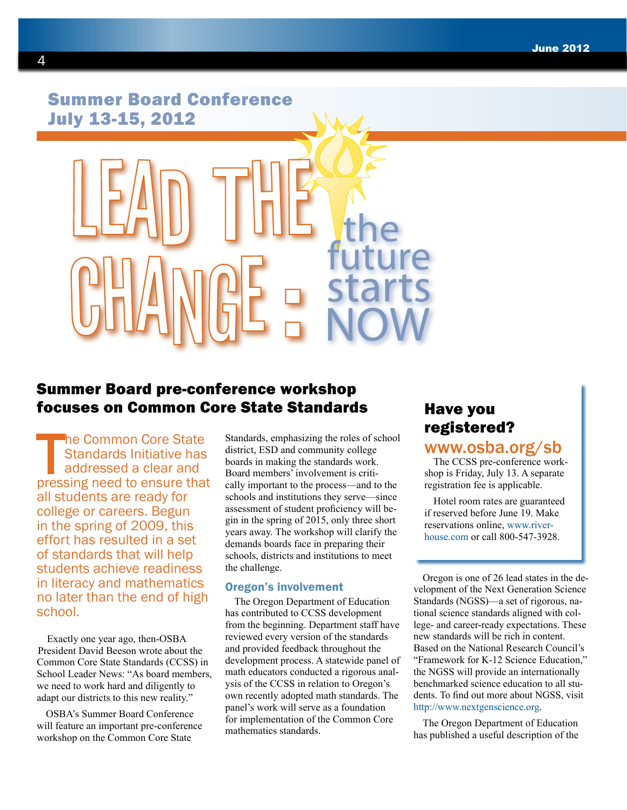## Summer Board Conference July 13-15, 2012

## Summer Board pre-conference workshop focuses on Common Core State Standards

The Common Core State<br>
Standards Initiative has<br>
addressed a clear and<br>
pressing need to ensure that he Common Core State Standards Initiative has addressed a clear and all students are ready for college or careers. Begun in the spring of 2009, this effort has resulted in a set of standards that will help students achieve readiness in literacy and mathematics no later than the end of high school.

Exactly one year ago, then-OSBA President David Beeson wrote about the Common Core State Standards (CCSS) in School Leader News: "As board members, we need to work hard and diligently to adapt our districts to this new reality."

OSBA's Summer Board Conference will feature an important pre-conference workshop on the Common Core State

Standards, emphasizing the roles of school district, ESD and community college boards in making the standards work. Board members' involvement is critically important to the process—and to the schools and institutions they serve—since assessment of student proficiency will begin in the spring of 2015, only three short years away. The workshop will clarify the demands boards face in preparing their schools, districts and institutions to meet the challenge.

#### Oregon's involvement

The Oregon Department of Education has contributed to CCSS development from the beginning. Department staff have reviewed every version of the standards and provided feedback throughout the development process. A statewide panel of math educators conducted a rigorous analysis of the CCSS in relation to Oregon's own recently adopted math standards. The panel's work will serve as a foundation for implementation of the Common Core mathematics standards.

## Have you registered?

## <www.osba.org/sb>

The CCSS pre-conference workshop is Friday, July 13. A separate registration fee is applicable.

Hotel room rates are guaranteed if reserved before June 19. Make reservations online, [www.river](www.riverhouse.com)[house.com](www.riverhouse.com) or call 800-547-3928.

Oregon is one of 26 lead states in the development of the Next Generation Science Standards (NGSS)—a set of rigorous, national science standards aligned with college- and career-ready expectations. These new standards will be rich in content. Based on the National Research Council's "Framework for K-12 Science Education," the NGSS will provide an internationally benchmarked science education to all students. To find out more about NGSS, visit [http://www.nextgenscience.org.](http://www.nextgenscience.org)

The Oregon Department of Education has published a useful description of the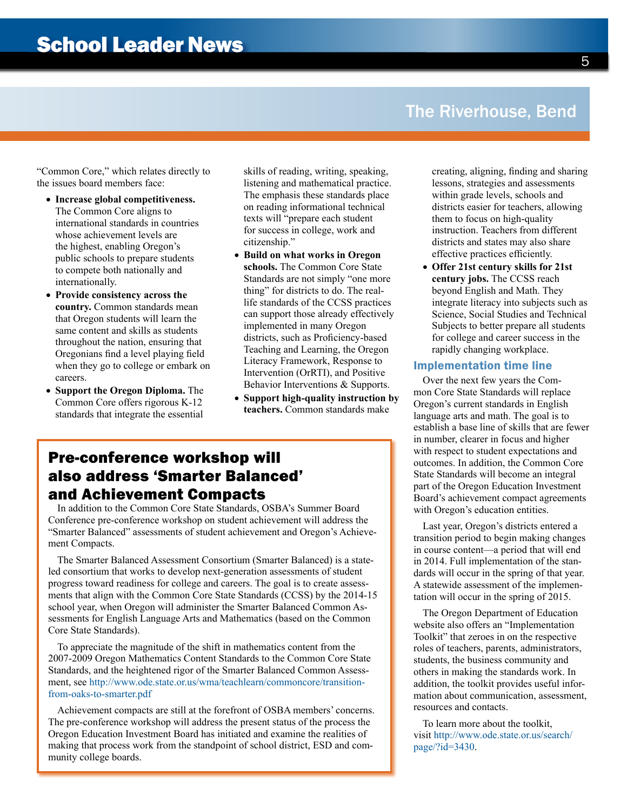## The Riverhouse, Bend

"Common Core," which relates directly to the issues board members face:

- **Increase global competitiveness.** The Common Core aligns to international standards in countries whose achievement levels are the highest, enabling Oregon's public schools to prepare students to compete both nationally and internationally.
- **Provide consistency across the country.** Common standards mean that Oregon students will learn the same content and skills as students throughout the nation, ensuring that Oregonians find a level playing field when they go to college or embark on careers.
- **Support the Oregon Diploma.** The Common Core offers rigorous K-12 standards that integrate the essential

skills of reading, writing, speaking, listening and mathematical practice. The emphasis these standards place on reading informational technical texts will "prepare each student for success in college, work and citizenship."

- **Build on what works in Oregon schools.** The Common Core State Standards are not simply "one more thing" for districts to do. The reallife standards of the CCSS practices can support those already effectively implemented in many Oregon districts, such as Proficiency-based Teaching and Learning, the Oregon Literacy Framework, Response to Intervention (OrRTI), and Positive Behavior Interventions & Supports.
- **Support high-quality instruction by teachers.** Common standards make

## Pre-conference workshop will also address 'Smarter Balanced' and Achievement Compacts

In addition to the Common Core State Standards, OSBA's Summer Board Conference pre-conference workshop on student achievement will address the "Smarter Balanced" assessments of student achievement and Oregon's Achievement Compacts.

The Smarter Balanced Assessment Consortium (Smarter Balanced) is a stateled consortium that works to develop next-generation assessments of student progress toward readiness for college and careers. The goal is to create assessments that align with the Common Core State Standards (CCSS) by the 2014-15 school year, when Oregon will administer the Smarter Balanced Common Assessments for English Language Arts and Mathematics (based on the Common Core State Standards).

To appreciate the magnitude of the shift in mathematics content from the 2007-2009 Oregon Mathematics Content Standards to the Common Core State Standards, and the heightened rigor of the Smarter Balanced Common Assessment, see [http://www.ode.state.or.us/wma/teachlearn/commoncore/transition](http://www.ode.state.or.us/wma/teachlearn/commoncore/transition-from-oaks-to-smarter.pdf)[from-oaks-to-smarter.pdf](http://www.ode.state.or.us/wma/teachlearn/commoncore/transition-from-oaks-to-smarter.pdf)

Achievement compacts are still at the forefront of OSBA members' concerns. The pre-conference workshop will address the present status of the process the Oregon Education Investment Board has initiated and examine the realities of making that process work from the standpoint of school district, ESD and community college boards.

creating, aligning, finding and sharing lessons, strategies and assessments within grade levels, schools and districts easier for teachers, allowing them to focus on high-quality instruction. Teachers from different districts and states may also share effective practices efficiently.

• **Offer 21st century skills for 21st century jobs.** The CCSS reach beyond English and Math. They integrate literacy into subjects such as Science, Social Studies and Technical Subjects to better prepare all students for college and career success in the rapidly changing workplace.

#### Implementation time line

Over the next few years the Common Core State Standards will replace Oregon's current standards in English language arts and math. The goal is to establish a base line of skills that are fewer in number, clearer in focus and higher with respect to student expectations and outcomes. In addition, the Common Core State Standards will become an integral part of the Oregon Education Investment Board's achievement compact agreements with Oregon's education entities.

Last year, Oregon's districts entered a transition period to begin making changes in course content—a period that will end in 2014. Full implementation of the standards will occur in the spring of that year. A statewide assessment of the implementation will occur in the spring of 2015.

The Oregon Department of Education website also offers an "Implementation Toolkit" that zeroes in on the respective roles of teachers, parents, administrators, students, the business community and others in making the standards work. In addition, the toolkit provides useful information about communication, assessment, resources and contacts.

To learn more about the toolkit, visit [http://www.ode.state.or.us/search/](http://www.ode.state.or.us/search/page/?id=3430) [page/?id=3430.](http://www.ode.state.or.us/search/page/?id=3430)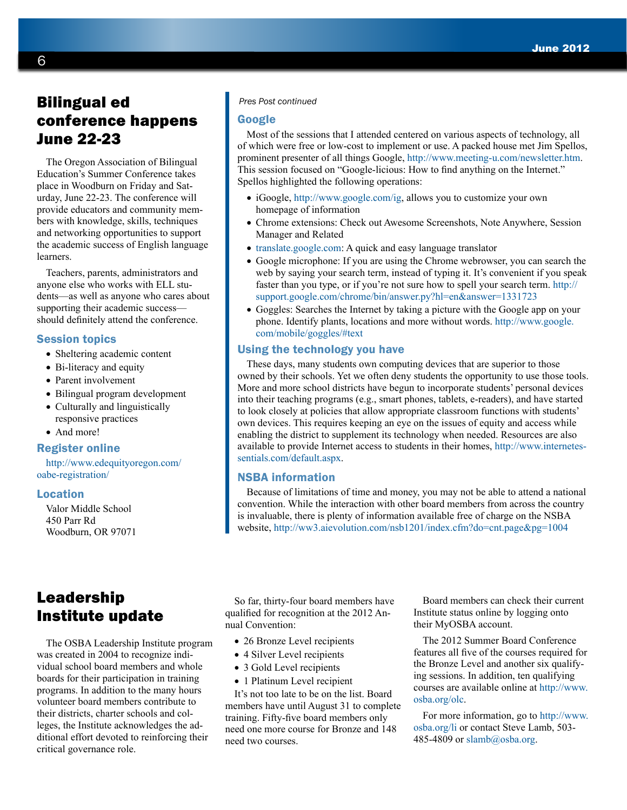## Bilingual ed conference happens June 22-23

The Oregon Association of Bilingual Education's Summer Conference takes place in Woodburn on Friday and Saturday, June 22-23. The conference will provide educators and community members with knowledge, skills, techniques and networking opportunities to support the academic success of English language learners.

Teachers, parents, administrators and anyone else who works with ELL students—as well as anyone who cares about supporting their academic success should definitely attend the conference.

#### Session topics

- Sheltering academic content
- Bi-literacy and equity
- Parent involvement
- Bilingual program development
- Culturally and linguistically responsive practices
- And more!

#### Register online

[http://www.edequityoregon.com/](http://www.edequityoregon.com/oabe-registration/) [oabe-registration/](http://www.edequityoregon.com/oabe-registration/)

#### Location

Valor Middle School 450 Parr Rd Woodburn, OR 97071

#### *Pres Post continued*

#### Google

Most of the sessions that I attended centered on various aspects of technology, all of which were free or low-cost to implement or use. A packed house met Jim Spellos, prominent presenter of all things Google, [http://www.meeting-u.com/newsletter.](http://www.meeting-u.com/newsletter.htm)htm. This session focused on "Google-licious: How to find anything on the Internet." Spellos highlighted the following operations:

- iGoogle,<http://www.google.com/ig>, allows you to customize your own homepage of information
- Chrome extensions: Check out Awesome Screenshots, Note Anywhere, Session Manager and Related
- <translate.google.com>: A quick and easy language translator
- Google microphone: If you are using the Chrome webrowser, you can search the web by saying your search term, instead of typing it. It's convenient if you speak faster than you type, or if you're not sure how to spell your search term. [http://](http://support.google.com/chrome/bin/answer.py?hl=en&answer=1331723) [support.google.com/chrome/bin/answer.py?hl=en&answer=1331723](http://support.google.com/chrome/bin/answer.py?hl=en&answer=1331723)
- Goggles: Searches the Internet by taking a picture with the Google app on your phone. Identify plants, locations and more without words. [http://www.google.](http://www.google.com/mobile/goggles/#text) [com/mobile/goggles/#text](http://www.google.com/mobile/goggles/#text)

#### Using the technology you have

These days, many students own computing devices that are superior to those owned by their schools. Yet we often deny students the opportunity to use those tools. More and more school districts have begun to incorporate students' personal devices into their teaching programs (e.g., smart phones, tablets, e-readers), and have started to look closely at policies that allow appropriate classroom functions with students' own devices. This requires keeping an eye on the issues of equity and access while enabling the district to supplement its technology when needed. Resources are also available to provide Internet access to students in their homes, [http://www.internetes](http://www.internetessentials.com/default.aspx)[sentials.com/default.aspx](http://www.internetessentials.com/default.aspx).

#### NSBA information

Because of limitations of time and money, you may not be able to attend a national convention. While the interaction with other board members from across the country is invaluable, there is plenty of information available free of charge on the NSBA website, <http://ww3.aievolution.com/nsb1201/index.cfm?do=cnt.page&pg=1004>

## Leadership Institute update

The OSBA Leadership Institute program was created in 2004 to recognize individual school board members and whole boards for their participation in training programs. In addition to the many hours volunteer board members contribute to their districts, charter schools and colleges, the Institute acknowledges the additional effort devoted to reinforcing their critical governance role.

So far, thirty-four board members have qualified for recognition at the 2012 Annual Convention:

- 26 Bronze Level recipients
- 4 Silver Level recipients
- 3 Gold Level recipients
- 1 Platinum Level recipient

It's not too late to be on the list. Board members have until August 31 to complete training. Fifty-five board members only need one more course for Bronze and 148 need two courses.

Board members can check their current Institute status online by logging onto their MyOSBA account.

The 2012 Summer Board Conference features all five of the courses required for the Bronze Level and another six qualifying sessions. In addition, ten qualifying courses are available online at [http://www.](http://www.osba.org/olc) [osba.org/olc.](http://www.osba.org/olc)

For more information, go to [http://www.](http://www.osba.org/li) [osba.org/li](http://www.osba.org/li) or contact Steve Lamb, 503 485-4809 or [slamb@osba.org.](mailto:slamb%40osba.org?subject=)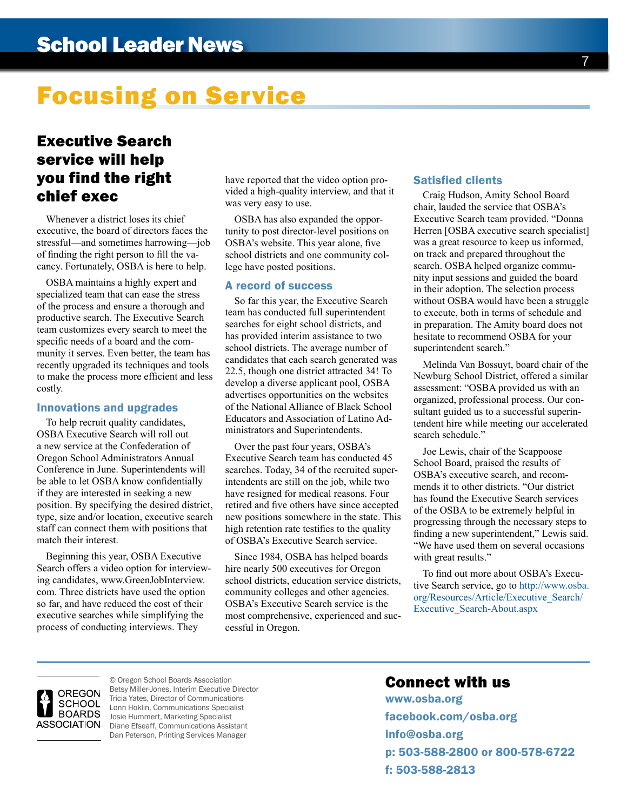# Focusing on Service

## Executive Search service will help you find the right chief exec

Whenever a district loses its chief executive, the board of directors faces the stressful—and sometimes harrowing—job of finding the right person to fill the vacancy. Fortunately, OSBA is here to help.

OSBA maintains a highly expert and specialized team that can ease the stress of the process and ensure a thorough and productive search. The Executive Search team customizes every search to meet the specific needs of a board and the community it serves. Even better, the team has recently upgraded its techniques and tools to make the process more efficient and less costly.

#### Innovations and upgrades

To help recruit quality candidates, OSBA Executive Search will roll out a new service at the Confederation of Oregon School Administrators Annual Conference in June. Superintendents will be able to let OSBA know confidentially if they are interested in seeking a new position. By specifying the desired district, type, size and/or location, executive search staff can connect them with positions that match their interest.

Beginning this year, OSBA Executive Search offers a video option for interviewing candidates, www.GreenJobInterview. com. Three districts have used the option so far, and have reduced the cost of their executive searches while simplifying the process of conducting interviews. They

have reported that the video option provided a high-quality interview, and that it was very easy to use.

OSBA has also expanded the opportunity to post director-level positions on OSBA's website. This year alone, five school districts and one community college have posted positions.

#### A record of success

So far this year, the Executive Search team has conducted full superintendent searches for eight school districts, and has provided interim assistance to two school districts. The average number of candidates that each search generated was 22.5, though one district attracted 34! To develop a diverse applicant pool, OSBA advertises opportunities on the websites of the National Alliance of Black School Educators and Association of Latino Administrators and Superintendents.

Over the past four years, OSBA's Executive Search team has conducted 45 searches. Today, 34 of the recruited superintendents are still on the job, while two have resigned for medical reasons. Four retired and five others have since accepted new positions somewhere in the state. This high retention rate testifies to the quality of OSBA's Executive Search service.

Since 1984, OSBA has helped boards hire nearly 500 executives for Oregon school districts, education service districts, community colleges and other agencies. OSBA's Executive Search service is the most comprehensive, experienced and successful in Oregon.

#### Satisfied clients

Craig Hudson, Amity School Board chair, lauded the service that OSBA's Executive Search team provided. "Donna Herren [OSBA executive search specialist] was a great resource to keep us informed, on track and prepared throughout the search. OSBA helped organize community input sessions and guided the board in their adoption. The selection process without OSBA would have been a struggle to execute, both in terms of schedule and in preparation. The Amity board does not hesitate to recommend OSBA for your superintendent search."

Melinda Van Bossuyt, board chair of the Newburg School District, offered a similar assessment: "OSBA provided us with an organized, professional process. Our consultant guided us to a successful superintendent hire while meeting our accelerated search schedule."

Joe Lewis, chair of the Scappoose School Board, praised the results of OSBA's executive search, and recommends it to other districts. "Our district has found the Executive Search services of the OSBA to be extremely helpful in progressing through the necessary steps to finding a new superintendent," Lewis said. "We have used them on several occasions with great results."

To find out more about OSBA's Executive Search service, go to [http://www.osba.](http://www.osba.org/Resources/Article/Executive_Search/Executive_Search-About.aspx) [org/Resources/Article/Executive\\_Search/](http://www.osba.org/Resources/Article/Executive_Search/Executive_Search-About.aspx) [Executive\\_Search-About.aspx](http://www.osba.org/Resources/Article/Executive_Search/Executive_Search-About.aspx)



© Oregon School Boards Association Betsy Miller-Jones, Interim Executive Director Tricia Yates, Director of Communications Lonn Hoklin, Communications Specialist Josie Hummert, Marketing Specialist ASSOCIATION Diane Efseaff, Communications Assistant Dan Peterson, Printing Services Manager

## Connect with us

<www.osba.org> [facebook.com/osba.org](http://www.facebook.com/osba.org?ref=nf) [info@osba.org](mailto:info%40osba.org?subject=) p: 503-588-2800 or 800-578-6722 f: 503-588-2813